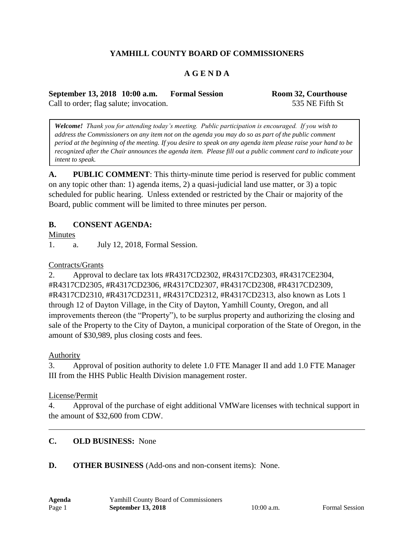# **YAMHILL COUNTY BOARD OF COMMISSIONERS**

## **A G E N D A**

**September 13, 2018 10:00 a.m. Formal Session Room 32, Courthouse** Call to order; flag salute; invocation. 535 NE Fifth St

*Welcome! Thank you for attending today's meeting. Public participation is encouraged. If you wish to address the Commissioners on any item not on the agenda you may do so as part of the public comment period at the beginning of the meeting. If you desire to speak on any agenda item please raise your hand to be recognized after the Chair announces the agenda item. Please fill out a public comment card to indicate your intent to speak.*

**A. PUBLIC COMMENT**: This thirty-minute time period is reserved for public comment on any topic other than: 1) agenda items, 2) a quasi-judicial land use matter, or 3) a topic scheduled for public hearing. Unless extended or restricted by the Chair or majority of the Board, public comment will be limited to three minutes per person.

### **B. CONSENT AGENDA:**

Minutes

1. a. July 12, 2018, Formal Session.

#### Contracts/Grants

2. Approval to declare tax lots #R4317CD2302, #R4317CD2303, #R4317CE2304, #R4317CD2305, #R4317CD2306, #R4317CD2307, #R4317CD2308, #R4317CD2309, #R4317CD2310, #R4317CD2311, #R4317CD2312, #R4317CD2313, also known as Lots 1 through 12 of Dayton Village, in the City of Dayton, Yamhill County, Oregon, and all improvements thereon (the "Property"), to be surplus property and authorizing the closing and sale of the Property to the City of Dayton, a municipal corporation of the State of Oregon, in the amount of \$30,989, plus closing costs and fees.

#### Authority

3. Approval of position authority to delete 1.0 FTE Manager II and add 1.0 FTE Manager III from the HHS Public Health Division management roster.

#### License/Permit

4. Approval of the purchase of eight additional VMWare licenses with technical support in the amount of \$32,600 from CDW.

### **C. OLD BUSINESS:** None

#### **D. OTHER BUSINESS** (Add-ons and non-consent items): None.